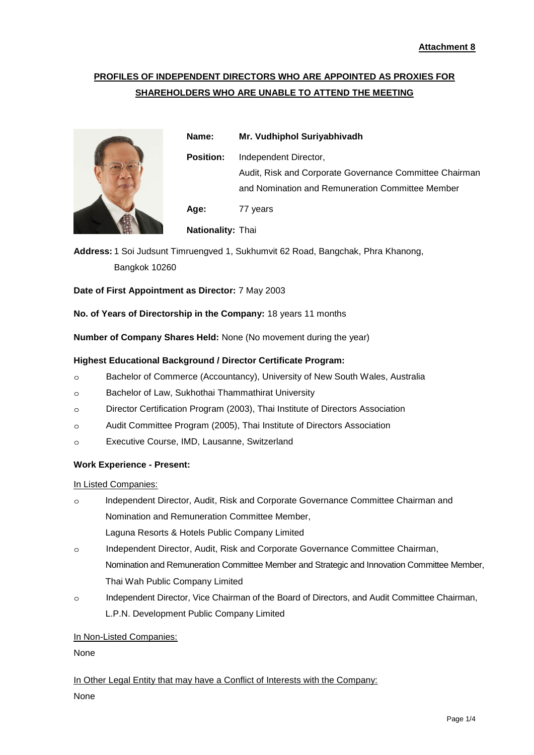# **PROFILES OF INDEPENDENT DIRECTORS WHO ARE APPOINTED AS PROXIES FOR SHAREHOLDERS WHO ARE UNABLE TO ATTEND THE MEETING**



**Name: Mr. Vudhiphol Suriyabhivadh Position:** Independent Director, Audit, Risk and Corporate Governance Committee Chairman and Nomination and Remuneration Committee Member **Age:** 77 years **Nationality:** Thai

**Address:** 1 Soi Judsunt Timruengved 1, Sukhumvit 62 Road, Bangchak, Phra Khanong, Bangkok 10260

**Date of First Appointment as Director:** 7 May 2003

**No. of Years of Directorship in the Company:** 18 years 11 months

**Number of Company Shares Held:** None (No movement during the year)

### **Highest Educational Background / Director Certificate Program:**

- ๐ Bachelor of Commerce (Accountancy), University of New South Wales, Australia
- ๐ Bachelor of Law, Sukhothai Thammathirat University
- ๐ Director Certification Program (2003), Thai Institute of Directors Association
- ๐ Audit Committee Program (2005), Thai Institute of Directors Association
- ๐ Executive Course, IMD, Lausanne, Switzerland

#### **Work Experience - Present:**

In Listed Companies:

- ๐ Independent Director, Audit, Risk and Corporate Governance Committee Chairman and Nomination and Remuneration Committee Member, Laguna Resorts & Hotels Public Company Limited
- ๐ Independent Director, Audit, Risk and Corporate Governance Committee Chairman, Nomination and Remuneration Committee Member and Strategic and Innovation Committee Member, Thai Wah Public Company Limited
- ๐ Independent Director, Vice Chairman of the Board of Directors, and Audit Committee Chairman, L.P.N. Development Public Company Limited

#### In Non-Listed Companies:

None

In Other Legal Entity that may have a Conflict of Interests with the Company:

None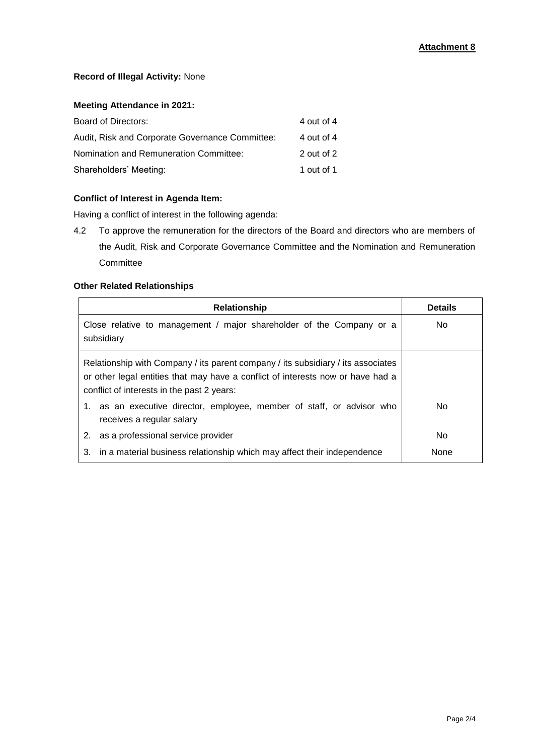## **Record of Illegal Activity:** None

## **Meeting Attendance in 2021:**

| Board of Directors:                             | 4 out of 4 |
|-------------------------------------------------|------------|
| Audit, Risk and Corporate Governance Committee: | 4 out of 4 |
| Nomination and Remuneration Committee:          | 2 out of 2 |
| Shareholders' Meeting:                          | 1 out of 1 |

# **Conflict of Interest in Agenda Item:**

Having a conflict of interest in the following agenda:

4.2 To approve the remuneration for the directors of the Board and directors who are members of the Audit, Risk and Corporate Governance Committee and the Nomination and Remuneration **Committee** 

## **Other Related Relationships**

| Relationship                                                                                                                                                                                                      | <b>Details</b> |
|-------------------------------------------------------------------------------------------------------------------------------------------------------------------------------------------------------------------|----------------|
| Close relative to management / major shareholder of the Company or a<br>subsidiary                                                                                                                                | No.            |
| Relationship with Company / its parent company / its subsidiary / its associates<br>or other legal entities that may have a conflict of interests now or have had a<br>conflict of interests in the past 2 years: |                |
| 1. as an executive director, employee, member of staff, or advisor who<br>receives a regular salary                                                                                                               | No.            |
| 2.<br>as a professional service provider                                                                                                                                                                          | No.            |
| in a material business relationship which may affect their independence<br>3.                                                                                                                                     | <b>None</b>    |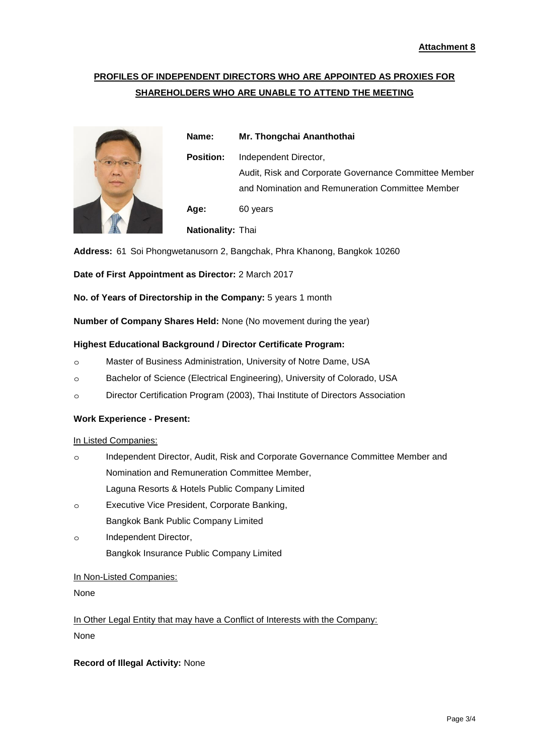# **PROFILES OF INDEPENDENT DIRECTORS WHO ARE APPOINTED AS PROXIES FOR SHAREHOLDERS WHO ARE UNABLE TO ATTEND THE MEETING**



**Name: Mr. Thongchai Ananthothai Position:** Independent Director, Audit, Risk and Corporate Governance Committee Member and Nomination and Remuneration Committee Member **Age:** 60 years **Nationality:** Thai

**Address:** 61 Soi Phongwetanusorn 2, Bangchak, Phra Khanong, Bangkok 10260

**Date of First Appointment as Director:** 2 March 2017

**No. of Years of Directorship in the Company:** 5 years 1 month

**Number of Company Shares Held:** None (No movement during the year)

### **Highest Educational Background / Director Certificate Program:**

- ๐ Master of Business Administration, University of Notre Dame, USA
- ๐ Bachelor of Science (Electrical Engineering), University of Colorado, USA
- ๐ Director Certification Program (2003), Thai Institute of Directors Association

#### **Work Experience - Present:**

#### In Listed Companies:

- ๐ Independent Director, Audit, Risk and Corporate Governance Committee Member and Nomination and Remuneration Committee Member, Laguna Resorts & Hotels Public Company Limited
- ๐ Executive Vice President, Corporate Banking, Bangkok Bank Public Company Limited
- ๐ Independent Director, Bangkok Insurance Public Company Limited

### In Non-Listed Companies:

None

In Other Legal Entity that may have a Conflict of Interests with the Company: None

## **Record of Illegal Activity:** None